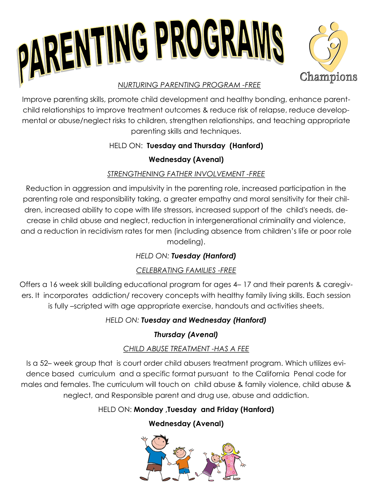



#### *NURTURING PARENTING PROGRAM -FREE*

Improve parenting skills, promote child development and healthy bonding, enhance parentchild relationships to improve treatment outcomes & reduce risk of relapse, reduce developmental or abuse/neglect risks to children, strengthen relationships, and teaching appropriate parenting skills and techniques.

### HELD ON: **Tuesday and Thursday (Hanford)**

### **Wednesday (Avenal)**

### *STRENGTHENING FATHER INVOLVEMENT -FREE*

Reduction in aggression and impulsivity in the parenting role, increased participation in the parenting role and responsibility taking, a greater empathy and moral sensitivity for their children, increased ability to cope with life stressors, increased support of the child's needs, decrease in child abuse and neglect, reduction in intergenerational criminality and violence, and a reduction in recidivism rates for men (including absence from children's life or poor role modeling).

## *HELD ON: Tuesday (Hanford)*

## *CELEBRATING FAMILIES -FREE*

Offers a 16 week skill building educational program for ages 4– 17 and their parents & caregivers. It incorporates addiction/ recovery concepts with healthy family living skills. Each session is fully –scripted with age appropriate exercise, handouts and activities sheets.

### *HELD ON: Tuesday and Wednesday (Hanford)*

## *Thursday (Avenal)*

### *CHILD ABUSE TREATMENT -HAS A FEE*

Is a 52– week group that is court order child abusers treatment program. Which utilizes evidence based curriculum and a specific format pursuant to the California Penal code for males and females. The curriculum will touch on child abuse & family violence, child abuse & neglect, and Responsible parent and drug use, abuse and addiction.

## HELD ON: **Monday ,Tuesday and Friday (Hanford)**

# **Wednesday (Avenal)**